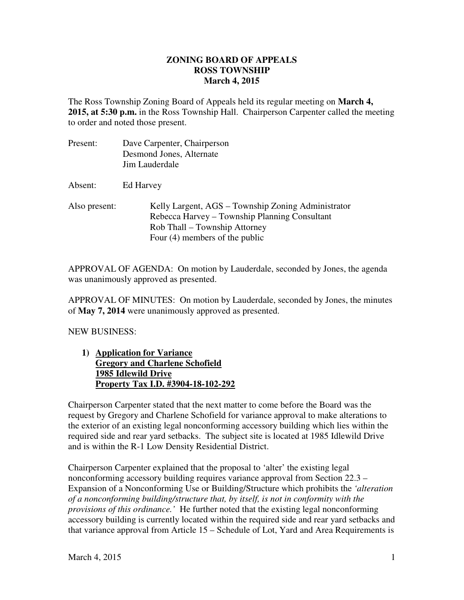#### **ZONING BOARD OF APPEALS March 4, 2015 ROSS TOWNSHIP**

 The Ross Township Zoning Board of Appeals held its regular meeting on **March 4, 2015, at 5:30 p.m.** in the Ross Township Hall. Chairperson Carpenter called the meeting to order and noted those present.

| Present:      | Dave Carpenter, Chairperson<br>Desmond Jones, Alternate<br>Jim Lauderdale                                                                                                |
|---------------|--------------------------------------------------------------------------------------------------------------------------------------------------------------------------|
| Absent:       | Ed Harvey                                                                                                                                                                |
| Also present: | Kelly Largent, AGS – Township Zoning Administrator<br>Rebecca Harvey – Township Planning Consultant<br>Rob Thall – Township Attorney<br>Four $(4)$ members of the public |

 APPROVAL OF AGENDA: On motion by Lauderdale, seconded by Jones, the agenda was unanimously approved as presented.

 APPROVAL OF MINUTES: On motion by Lauderdale, seconded by Jones, the minutes  of **May 7, 2014** were unanimously approved as presented.

NEW BUSINESS:

1) **Application for Variance Gregory and Charlene Schofield 1985 Idlewild Drive Property Tax I.D. #3904-18-102-292** 

 Chairperson Carpenter stated that the next matter to come before the Board was the request by Gregory and Charlene Schofield for variance approval to make alterations to the exterior of an existing legal nonconforming accessory building which lies within the required side and rear yard setbacks. The subject site is located at 1985 Idlewild Drive and is within the R-1 Low Density Residential District.

 Chairperson Carpenter explained that the proposal to 'alter' the existing legal nonconforming accessory building requires variance approval from Section 22.3 – Expansion of a Nonconforming Use or Building/Structure which prohibits the *'alteration of a nonconforming building/structure that, by itself, is not in conformity with the provisions of this ordinance.'* He further noted that the existing legal nonconforming accessory building is currently located within the required side and rear yard setbacks and that variance approval from Article 15 – Schedule of Lot, Yard and Area Requirements is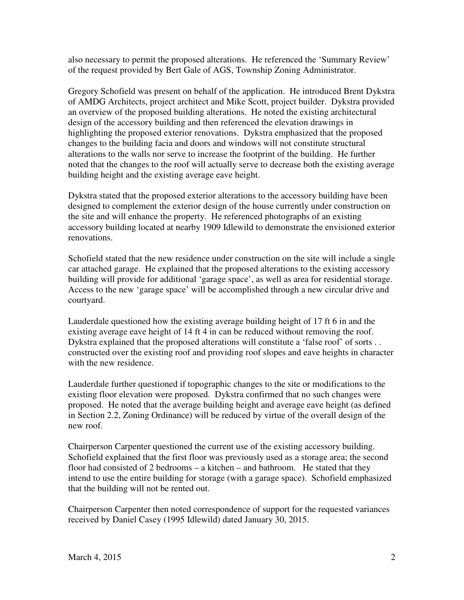also necessary to permit the proposed alterations. He referenced the 'Summary Review' of the request provided by Bert Gale of AGS, Township Zoning Administrator.

 Gregory Schofield was present on behalf of the application. He introduced Brent Dykstra of AMDG Architects, project architect and Mike Scott, project builder. Dykstra provided an overview of the proposed building alterations. He noted the existing architectural design of the accessory building and then referenced the elevation drawings in highlighting the proposed exterior renovations. Dykstra emphasized that the proposed changes to the building facia and doors and windows will not constitute structural alterations to the walls nor serve to increase the footprint of the building. He further noted that the changes to the roof will actually serve to decrease both the existing average building height and the existing average eave height.

 Dykstra stated that the proposed exterior alterations to the accessory building have been designed to complement the exterior design of the house currently under construction on the site and will enhance the property. He referenced photographs of an existing accessory building located at nearby 1909 Idlewild to demonstrate the envisioned exterior renovations.

 Schofield stated that the new residence under construction on the site will include a single car attached garage. He explained that the proposed alterations to the existing accessory building will provide for additional 'garage space', as well as area for residential storage. Access to the new 'garage space' will be accomplished through a new circular drive and courtyard.

 Lauderdale questioned how the existing average building height of 17 ft 6 in and the existing average eave height of 14 ft 4 in can be reduced without removing the roof. Dykstra explained that the proposed alterations will constitute a 'false roof' of sorts . . constructed over the existing roof and providing roof slopes and eave heights in character with the new residence.

 Lauderdale further questioned if topographic changes to the site or modifications to the existing floor elevation were proposed. Dykstra confirmed that no such changes were proposed. He noted that the average building height and average eave height (as defined in Section 2.2, Zoning Ordinance) will be reduced by virtue of the overall design of the new roof.

 Chairperson Carpenter questioned the current use of the existing accessory building. Schofield explained that the first floor was previously used as a storage area; the second floor had consisted of 2 bedrooms – a kitchen – and bathroom. He stated that they intend to use the entire building for storage (with a garage space). Schofield emphasized that the building will not be rented out.

 Chairperson Carpenter then noted correspondence of support for the requested variances received by Daniel Casey (1995 Idlewild) dated January 30, 2015.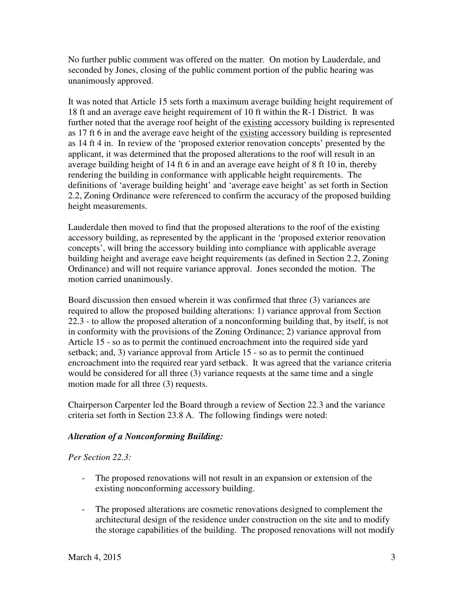No further public comment was offered on the matter. On motion by Lauderdale, and seconded by Jones, closing of the public comment portion of the public hearing was unanimously approved.

 It was noted that Article 15 sets forth a maximum average building height requirement of 18 ft and an average eave height requirement of 10 ft within the R-1 District. It was further noted that the average roof height of the existing accessory building is represented as 17 ft 6 in and the average eave height of the existing accessory building is represented as 14 ft 4 in. In review of the 'proposed exterior renovation concepts' presented by the applicant, it was determined that the proposed alterations to the roof will result in an average building height of 14 ft 6 in and an average eave height of 8 ft 10 in, thereby rendering the building in conformance with applicable height requirements. The definitions of 'average building height' and 'average eave height' as set forth in Section 2.2, Zoning Ordinance were referenced to confirm the accuracy of the proposed building height measurements.

 Lauderdale then moved to find that the proposed alterations to the roof of the existing accessory building, as represented by the applicant in the 'proposed exterior renovation concepts', will bring the accessory building into compliance with applicable average building height and average eave height requirements (as defined in Section 2.2, Zoning Ordinance) and will not require variance approval. Jones seconded the motion. The motion carried unanimously.

 Board discussion then ensued wherein it was confirmed that three (3) variances are required to allow the proposed building alterations: 1) variance approval from Section 22.3 - to allow the proposed alteration of a nonconforming building that, by itself, is not in conformity with the provisions of the Zoning Ordinance; 2) variance approval from Article 15 - so as to permit the continued encroachment into the required side yard setback; and, 3) variance approval from Article 15 - so as to permit the continued encroachment into the required rear yard setback. It was agreed that the variance criteria would be considered for all three (3) variance requests at the same time and a single motion made for all three (3) requests.

 Chairperson Carpenter led the Board through a review of Section 22.3 and the variance criteria set forth in Section 23.8 A. The following findings were noted:

## *Alteration of a Nonconforming Building:*

### *Per Section 22.3:*

- - The proposed renovations will not result in an expansion or extension of the existing nonconforming accessory building.
- - The proposed alterations are cosmetic renovations designed to complement the architectural design of the residence under construction on the site and to modify the storage capabilities of the building. The proposed renovations will not modify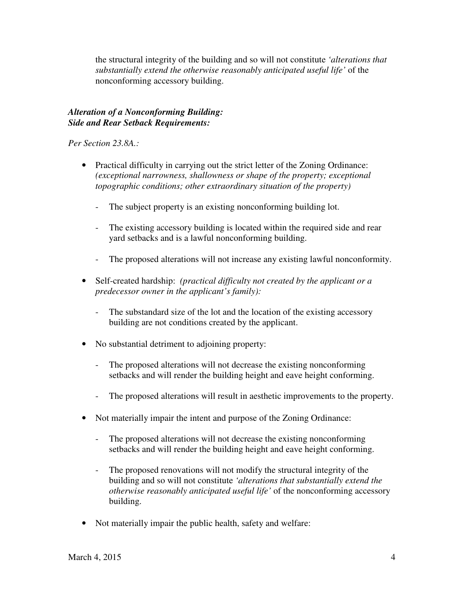the structural integrity of the building and so will not constitute *'alterations that substantially extend the otherwise reasonably anticipated useful life'* of the nonconforming accessory building.

## *Alteration of a Nonconforming Building: Side and Rear Setback Requirements:*

 *Per Section 23.8A.:* 

- Practical difficulty in carrying out the strict letter of the Zoning Ordinance:  *(exceptional narrowness, shallowness or shape of the property; exceptional topographic conditions; other extraordinary situation of the property)* 
	- The subject property is an existing nonconforming building lot.
	- - The existing accessory building is located within the required side and rear yard setbacks and is a lawful nonconforming building.
	- The proposed alterations will not increase any existing lawful nonconformity.
- • Self-created hardship: *(practical difficulty not created by the applicant or a predecessor owner in the applicant's family):* 
	- - The substandard size of the lot and the location of the existing accessory building are not conditions created by the applicant.
- • No substantial detriment to adjoining property:
	- - The proposed alterations will not decrease the existing nonconforming setbacks and will render the building height and eave height conforming.
	- The proposed alterations will result in aesthetic improvements to the property.
- Not materially impair the intent and purpose of the Zoning Ordinance:
	- - The proposed alterations will not decrease the existing nonconforming setbacks and will render the building height and eave height conforming.
	- The proposed renovations will not modify the structural integrity of the building and so will not constitute *'alterations that substantially extend the otherwise reasonably anticipated useful life'* of the nonconforming accessory building.
- Not materially impair the public health, safety and welfare: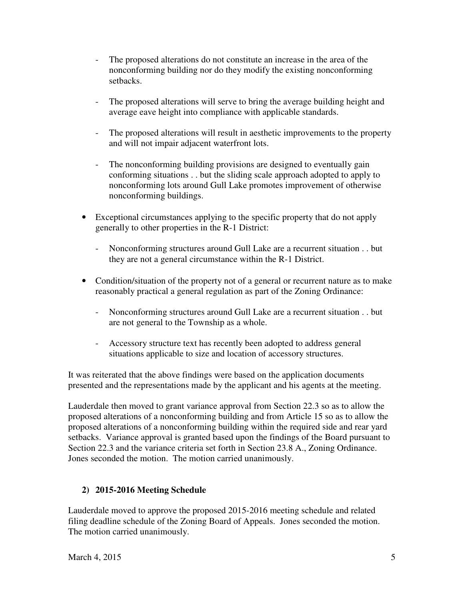- - The proposed alterations do not constitute an increase in the area of the nonconforming building nor do they modify the existing nonconforming setbacks.
- - The proposed alterations will serve to bring the average building height and average eave height into compliance with applicable standards.
- - The proposed alterations will result in aesthetic improvements to the property and will not impair adjacent waterfront lots.
- The nonconforming building provisions are designed to eventually gain conforming situations . . but the sliding scale approach adopted to apply to nonconforming lots around Gull Lake promotes improvement of otherwise nonconforming buildings.
- • Exceptional circumstances applying to the specific property that do not apply generally to other properties in the R-1 District:
	- - Nonconforming structures around Gull Lake are a recurrent situation . . but they are not a general circumstance within the R-1 District.
- Condition/situation of the property not of a general or recurrent nature as to make reasonably practical a general regulation as part of the Zoning Ordinance:
	- - Nonconforming structures around Gull Lake are a recurrent situation . . but are not general to the Township as a whole.
	- - Accessory structure text has recently been adopted to address general situations applicable to size and location of accessory structures.

 It was reiterated that the above findings were based on the application documents presented and the representations made by the applicant and his agents at the meeting.

 Lauderdale then moved to grant variance approval from Section 22.3 so as to allow the proposed alterations of a nonconforming building and from Article 15 so as to allow the proposed alterations of a nonconforming building within the required side and rear yard setbacks. Variance approval is granted based upon the findings of the Board pursuant to Section 22.3 and the variance criteria set forth in Section 23.8 A., Zoning Ordinance. Jones seconded the motion. The motion carried unanimously.

# **2) 2015-2016 Meeting Schedule**

 Lauderdale moved to approve the proposed 2015-2016 meeting schedule and related filing deadline schedule of the Zoning Board of Appeals. Jones seconded the motion. The motion carried unanimously.